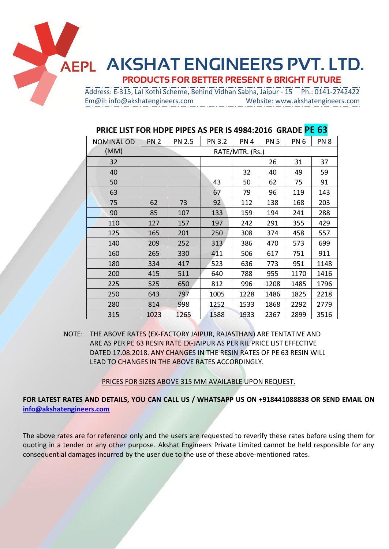**AKSHAT ENGINEERS PVT. LTD.** 

 **PRODUCTS FOR BETTER PRESENT & BRIGHT FUTURE**

 Address: E-315, Lal Kothi Scheme, Behind Vidhan Sabha, Jaipur - 15 Ph.: 0141-2742422 Em@il: info@akshatengineers.com Website: www.akshatengineers.com

| <b>NOMINAL OD</b> | <b>PN 2</b><br><b>PN 2.5</b> |      | <b>PN 3.2</b> | PN <sub>4</sub> | <b>PN 5</b> | PN <sub>6</sub> | PN <sub>8</sub> |
|-------------------|------------------------------|------|---------------|-----------------|-------------|-----------------|-----------------|
| (MM)              |                              |      |               | RATE/MTR. (Rs.) |             |                 |                 |
| 32                |                              |      |               |                 | 26          | 31              | 37              |
| 40                |                              |      |               | 32              | 40          | 49              | 59              |
| 50                |                              |      | 43            | 50              | 62          | 75              | 91              |
| 63                |                              |      | 67            | 79              | 96          | 119             | 143             |
| 75                | 62                           | 73   | 92            | 112             | 138         | 168             | 203             |
| 90                | 85                           | 107  | 133           | 159             | 194         | 241             | 288             |
| 110               | 127                          | 157  | 197           | 242             | 291         | 355             | 429             |
| 125               | 165                          | 201  | 250           | 308             | 374         | 458             | 557             |
| 140               | 209                          | 252  | 313           | 386             | 470         | 573             | 699             |
| 160               | 265                          | 330  | 411           | 506             | 617         | 751             | 911             |
| 180               | 334                          | 417  | 523           | 636             | 773         | 951             | 1148            |
| 200               | 415                          | 511  | 640           | 788             | 955         | 1170            | 1416            |
| 225               | 525                          | 650  | 812           | 996             | 1208        | 1485            | 1796            |
| 250               | 643                          | 797  | 1005          | 1228            | 1486        | 1825            | 2218            |
| 280               | 814                          | 998  | 1252          | 1533            | 1868        | 2292            | 2779            |
| 315               | 1023                         | 1265 | 1588          | 1933            | 2367        | 2899            | 3516            |
|                   |                              |      |               |                 |             |                 |                 |

## **PRICE LIST FOR HDPE PIPES AS PER IS 4984:2016 GRADE PE 63**

NOTE: THE ABOVE RATES (EX-FACTORY JAIPUR, RAJASTHAN) ARE TENTATIVE AND ARE AS PER PE 63 RESIN RATE EX-JAIPUR AS PER RIL PRICE LIST EFFECTIVE DATED 17.08.2018. ANY CHANGES IN THE RESIN RATES OF PE 63 RESIN WILL LEAD TO CHANGES IN THE ABOVE RATES ACCORDINGLY.

PRICES FOR SIZES ABOVE 315 MM AVAILABLE UPON REQUEST.

**FOR LATEST RATES AND DETAILS, YOU CAN CALL US / WHATSAPP US ON +918441088838 OR SEND EMAIL ON [info@akshatengineers.com](mailto:info@akshatengineers.com)**

The above rates are for reference only and the users are requested to reverify these rates before using them for quoting in a tender or any other purpose. Akshat Engineers Private Limited cannot be held responsible for any consequential damages incurred by the user due to the use of these above-mentioned rates.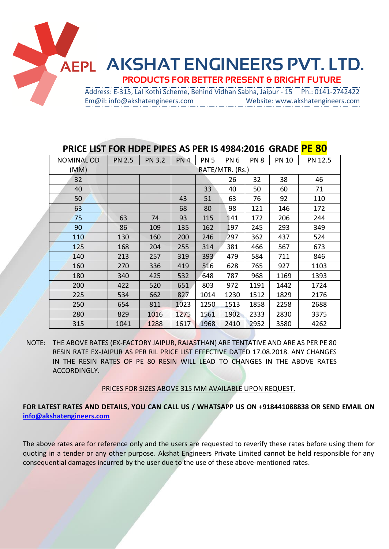

| <b>NOMINAL OD</b> | <b>PN 2.5</b>   | <b>PN 3.2</b> | PN <sub>4</sub> | <b>PN 5</b> | PN <sub>6</sub> | PN <sub>8</sub> | <b>PN 10</b> | PN 12.5 |
|-------------------|-----------------|---------------|-----------------|-------------|-----------------|-----------------|--------------|---------|
| (MM)              | RATE/MTR. (Rs.) |               |                 |             |                 |                 |              |         |
| 32                |                 |               |                 |             | 26              | 32              | 38           | 46      |
| 40                |                 |               |                 | 33          | 40              | 50              | 60           | 71      |
| 50                |                 |               | 43              | 51          | 63              | 76              | 92           | 110     |
| 63                |                 |               | 68              | 80          | 98              | 121             | 146          | 172     |
| 75                | 63              | 74            | 93              | 115         | 141             | 172             | 206          | 244     |
| 90                | 86              | 109           | 135             | 162         | 197             | 245             | 293          | 349     |
| 110               | 130             | 160           | 200             | 246         | 297             | 362             | 437          | 524     |
| 125               | 168             | 204           | 255             | 314         | 381             | 466             | 567          | 673     |
| 140               | 213             | 257           | 319             | 393         | 479             | 584             | 711          | 846     |
| 160               | 270             | 336           | 419             | 516         | 628             | 765             | 927          | 1103    |
| 180               | 340             | 425           | 532             | 648         | 787             | 968             | 1169         | 1393    |
| 200               | 422             | 520           | 651             | 803         | 972             | 1191            | 1442         | 1724    |
| 225               | 534             | 662           | 827             | 1014        | 1230            | 1512            | 1829         | 2176    |
| 250               | 654             | 811           | 1023            | 1250        | 1513            | 1858            | 2258         | 2688    |
| 280               | 829             | 1016          | 1275            | 1561        | 1902            | 2333            | 2830         | 3375    |
| 315               | 1041            | 1288          | 1617            | 1968        | 2410            | 2952            | 3580         | 4262    |

## **PRICE LIST FOR HDPE PIPES AS PER IS 4984:2016 GRADE PE 80**

NOTE: THE ABOVE RATES (EX-FACTORY JAIPUR, RAJASTHAN) ARE TENTATIVE AND ARE AS PER PE 80 RESIN RATE EX-JAIPUR AS PER RIL PRICE LIST EFFECTIVE DATED 17.08.2018. ANY CHANGES IN THE RESIN RATES OF PE 80 RESIN WILL LEAD TO CHANGES IN THE ABOVE RATES ACCORDINGLY.

PRICES FOR SIZES ABOVE 315 MM AVAILABLE UPON REQUEST.

**FOR LATEST RATES AND DETAILS, YOU CAN CALL US / WHATSAPP US ON +918441088838 OR SEND EMAIL ON [info@akshatengineers.com](mailto:info@akshatengineers.com)**

The above rates are for reference only and the users are requested to reverify these rates before using them for quoting in a tender or any other purpose. Akshat Engineers Private Limited cannot be held responsible for any consequential damages incurred by the user due to the use of these above-mentioned rates.